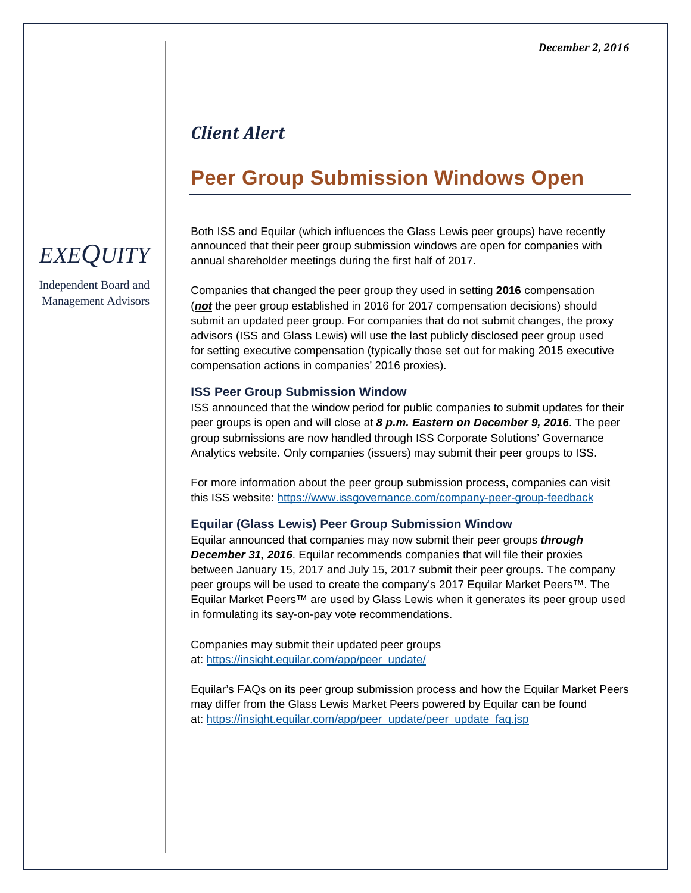### *Client Alert*

## **Peer Group Submission Windows Open**

Both ISS and Equilar (which influences the Glass Lewis peer groups) have recently announced that their peer group submission windows are open for companies with annual shareholder meetings during the first half of 2017.

Companies that changed the peer group they used in setting **2016** compensation (*not* the peer group established in 2016 for 2017 compensation decisions) should submit an updated peer group. For companies that do not submit changes, the proxy advisors (ISS and Glass Lewis) will use the last publicly disclosed peer group used for setting executive compensation (typically those set out for making 2015 executive compensation actions in companies' 2016 proxies).

#### **ISS Peer Group Submission Window**

ISS announced that the window period for public companies to submit updates for their peer groups is open and will close at *8 p.m. Eastern on December 9, 2016*. The peer group submissions are now handled through ISS Corporate Solutions' Governance Analytics website. Only companies (issuers) may submit their peer groups to ISS.

For more information about the peer group submission process, companies can visit this ISS website: [https://www.issgovernance.com/company-peer-group-feedback](http://app.info.isscorporatesolutions.com/e/er?s=159894190&lid=74&elqTrackId=D7CE33E20B35489A9A31C55E2484CB42&elq=3b57c2ed1bb943bc9b631da1fa918a79&elqaid=331&elqat=1)

#### **Equilar (Glass Lewis) Peer Group Submission Window**

Equilar announced that companies may now submit their peer groups *through December 31, 2016*. Equilar recommends companies that will file their proxies between January 15, 2017 and July 15, 2017 submit their peer groups. The company peer groups will be used to create the company's 2017 Equilar Market Peers™. The Equilar Market Peers™ are used by Glass Lewis when it generates its peer group used in formulating its say-on-pay vote recommendations.

Companies may submit their updated peer groups at: [https://insight.equilar.com/app/peer\\_update/](https://insight.equilar.com/app/peer_update/)

Equilar's FAQs on its peer group submission process and how the Equilar Market Peers may differ from the Glass Lewis Market Peers powered by Equilar can be found at: [https://insight.equilar.com/app/peer\\_update/peer\\_update\\_faq.jsp](https://insight.equilar.com/app/peer_update/peer_update_faq.jsp)

# *EXEQUITY*

Independent Board and Management Advisors